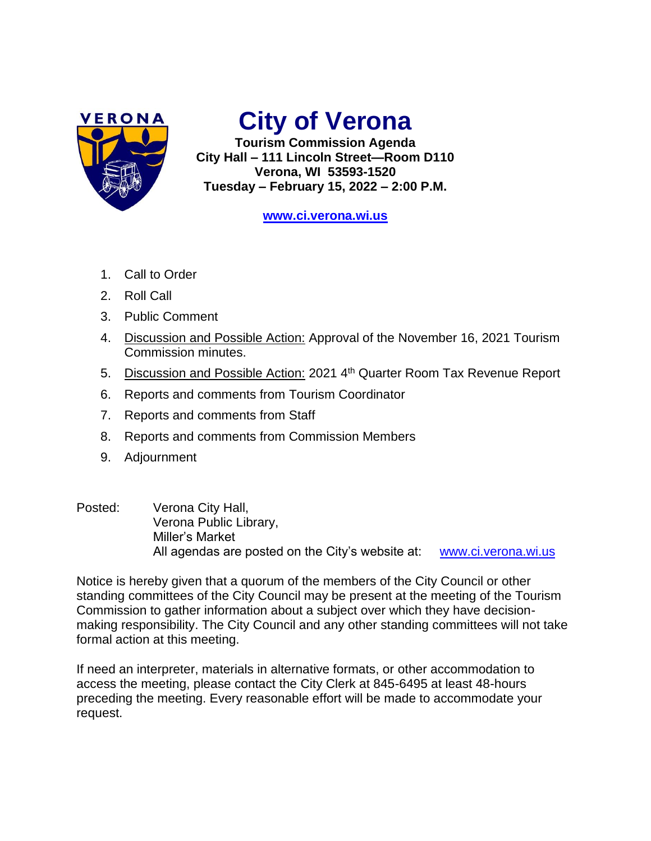

## **City of Verona**

**Tourism Commission Agenda City Hall – 111 Lincoln Street—Room D110 Verona, WI 53593-1520 Tuesday – February 15, 2022 – 2:00 P.M.**

**[www.ci.verona.wi.us](http://www.ci.verona.wi.us/)**

- 1. Call to Order
- 2. Roll Call
- 3. Public Comment
- 4. Discussion and Possible Action: Approval of the November 16, 2021 Tourism Commission minutes.
- 5. Discussion and Possible Action: 2021 4<sup>th</sup> Quarter Room Tax Revenue Report
- 6. Reports and comments from Tourism Coordinator
- 7. Reports and comments from Staff
- 8. Reports and comments from Commission Members
- 9. Adjournment
- Posted: Verona City Hall, Verona Public Library, Miller's Market All agendas are posted on the City's website at: [www.ci.verona.wi.us](http://www.ci.verona.wi.us/)

Notice is hereby given that a quorum of the members of the City Council or other standing committees of the City Council may be present at the meeting of the Tourism Commission to gather information about a subject over which they have decisionmaking responsibility. The City Council and any other standing committees will not take formal action at this meeting.

If need an interpreter, materials in alternative formats, or other accommodation to access the meeting, please contact the City Clerk at 845-6495 at least 48-hours preceding the meeting. Every reasonable effort will be made to accommodate your request.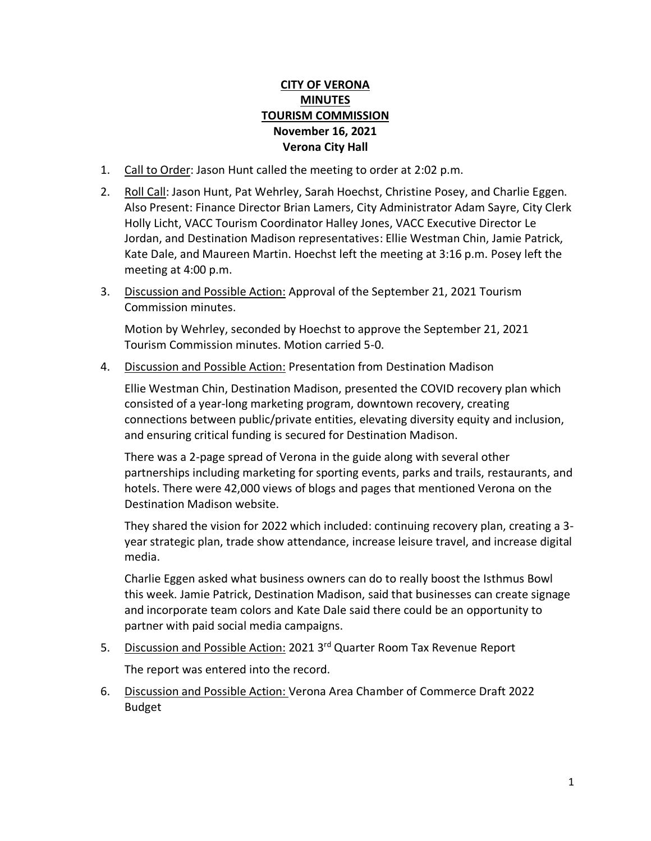## **CITY OF VERONA MINUTES TOURISM COMMISSION November 16, 2021 Verona City Hall**

- 1. Call to Order: Jason Hunt called the meeting to order at 2:02 p.m.
- 2. Roll Call: Jason Hunt, Pat Wehrley, Sarah Hoechst, Christine Posey, and Charlie Eggen. Also Present: Finance Director Brian Lamers, City Administrator Adam Sayre, City Clerk Holly Licht, VACC Tourism Coordinator Halley Jones, VACC Executive Director Le Jordan, and Destination Madison representatives: Ellie Westman Chin, Jamie Patrick, Kate Dale, and Maureen Martin. Hoechst left the meeting at 3:16 p.m. Posey left the meeting at 4:00 p.m.
- 3. Discussion and Possible Action: Approval of the September 21, 2021 Tourism Commission minutes.

Motion by Wehrley, seconded by Hoechst to approve the September 21, 2021 Tourism Commission minutes. Motion carried 5-0.

4. Discussion and Possible Action: Presentation from Destination Madison

Ellie Westman Chin, Destination Madison, presented the COVID recovery plan which consisted of a year-long marketing program, downtown recovery, creating connections between public/private entities, elevating diversity equity and inclusion, and ensuring critical funding is secured for Destination Madison.

There was a 2-page spread of Verona in the guide along with several other partnerships including marketing for sporting events, parks and trails, restaurants, and hotels. There were 42,000 views of blogs and pages that mentioned Verona on the Destination Madison website.

They shared the vision for 2022 which included: continuing recovery plan, creating a 3 year strategic plan, trade show attendance, increase leisure travel, and increase digital media.

Charlie Eggen asked what business owners can do to really boost the Isthmus Bowl this week. Jamie Patrick, Destination Madison, said that businesses can create signage and incorporate team colors and Kate Dale said there could be an opportunity to partner with paid social media campaigns.

5. Discussion and Possible Action: 2021 3<sup>rd</sup> Quarter Room Tax Revenue Report

The report was entered into the record.

6. Discussion and Possible Action: Verona Area Chamber of Commerce Draft 2022 Budget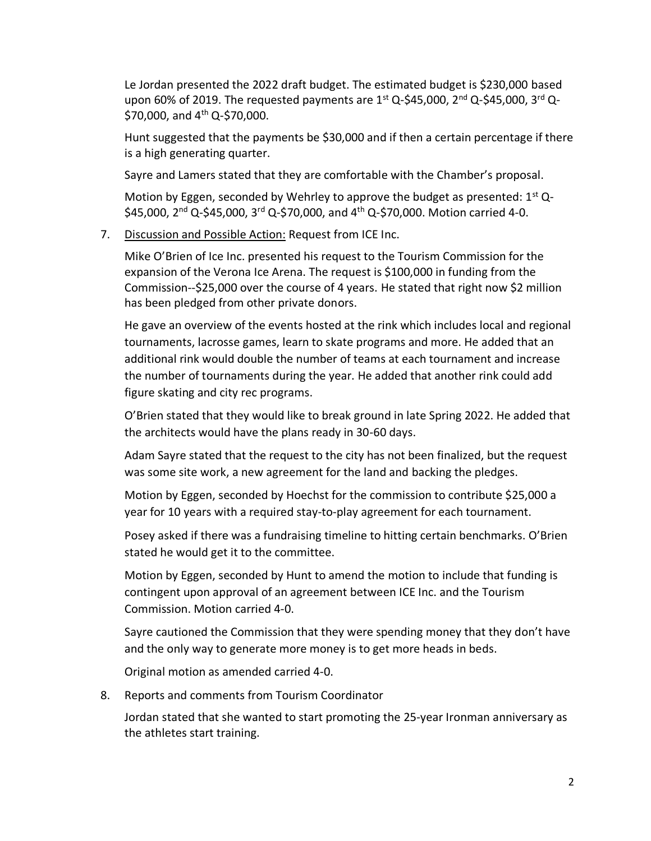Le Jordan presented the 2022 draft budget. The estimated budget is \$230,000 based upon 60% of 2019. The requested payments are  $1^{st}$  Q-\$45,000,  $2^{nd}$  Q-\$45,000,  $3^{rd}$  Q-\$70,000, and  $4^{th}$  Q-\$70,000.

Hunt suggested that the payments be \$30,000 and if then a certain percentage if there is a high generating quarter.

Sayre and Lamers stated that they are comfortable with the Chamber's proposal.

Motion by Eggen, seconded by Wehrley to approve the budget as presented:  $1^{st}$  Q- $$45,000$ ,  $2^{nd}$  Q-\$45,000,  $3^{rd}$  Q-\$70,000, and  $4^{th}$  Q-\$70,000. Motion carried 4-0.

7. Discussion and Possible Action: Request from ICE Inc.

Mike O'Brien of Ice Inc. presented his request to the Tourism Commission for the expansion of the Verona Ice Arena. The request is \$100,000 in funding from the Commission--\$25,000 over the course of 4 years. He stated that right now \$2 million has been pledged from other private donors.

He gave an overview of the events hosted at the rink which includes local and regional tournaments, lacrosse games, learn to skate programs and more. He added that an additional rink would double the number of teams at each tournament and increase the number of tournaments during the year. He added that another rink could add figure skating and city rec programs.

O'Brien stated that they would like to break ground in late Spring 2022. He added that the architects would have the plans ready in 30-60 days.

Adam Sayre stated that the request to the city has not been finalized, but the request was some site work, a new agreement for the land and backing the pledges.

Motion by Eggen, seconded by Hoechst for the commission to contribute \$25,000 a year for 10 years with a required stay-to-play agreement for each tournament.

Posey asked if there was a fundraising timeline to hitting certain benchmarks. O'Brien stated he would get it to the committee.

Motion by Eggen, seconded by Hunt to amend the motion to include that funding is contingent upon approval of an agreement between ICE Inc. and the Tourism Commission. Motion carried 4-0.

Sayre cautioned the Commission that they were spending money that they don't have and the only way to generate more money is to get more heads in beds.

Original motion as amended carried 4-0.

8. Reports and comments from Tourism Coordinator

Jordan stated that she wanted to start promoting the 25-year Ironman anniversary as the athletes start training.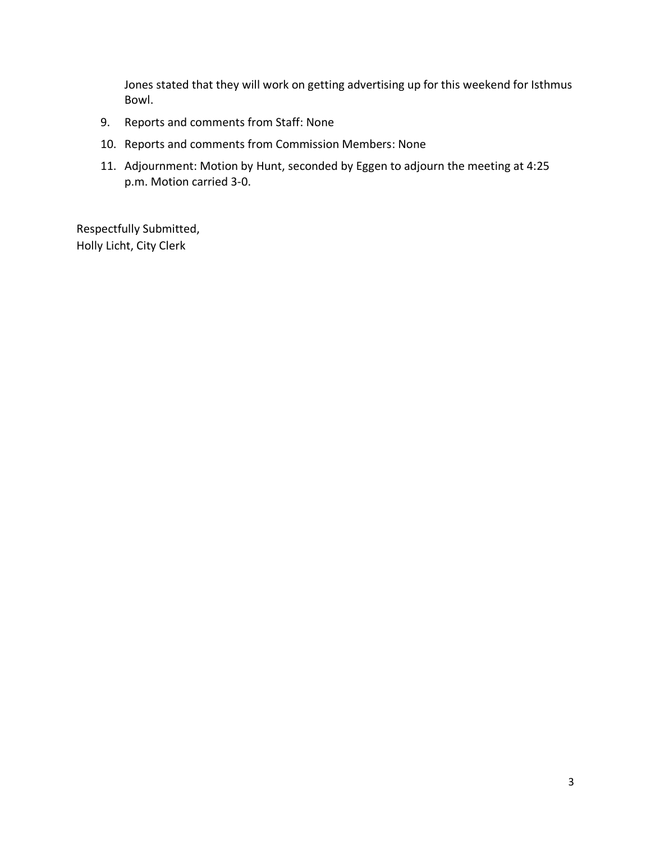Jones stated that they will work on getting advertising up for this weekend for Isthmus Bowl.

- 9. Reports and comments from Staff: None
- 10. Reports and comments from Commission Members: None
- 11. Adjournment: Motion by Hunt, seconded by Eggen to adjourn the meeting at 4:25 p.m. Motion carried 3-0.

Respectfully Submitted, Holly Licht, City Clerk